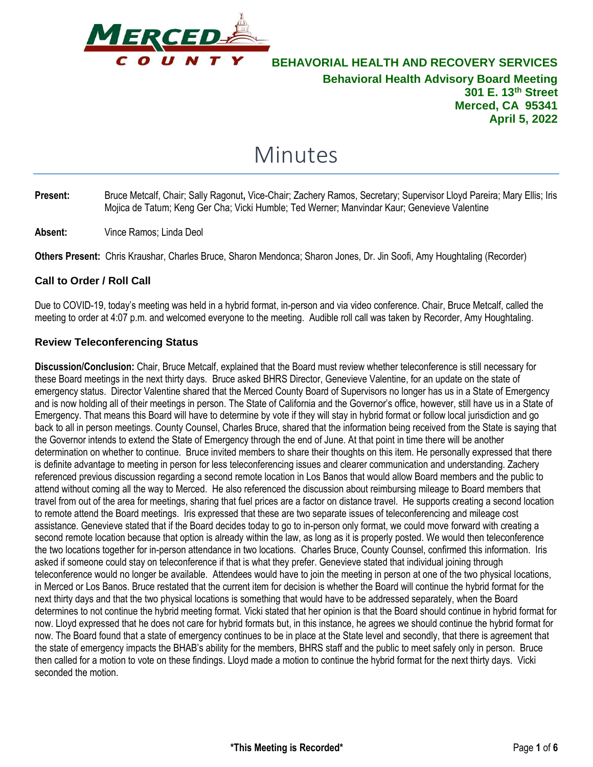

# Minutes

- **Present:** Bruce Metcalf, Chair; Sally Ragonut**,** Vice-Chair; Zachery Ramos, Secretary; Supervisor Lloyd Pareira; Mary Ellis; Iris Mojica de Tatum; Keng Ger Cha; Vicki Humble; Ted Werner; Manvindar Kaur; Genevieve Valentine
- **Absent:** Vince Ramos; Linda Deol

**Others Present:** Chris Kraushar, Charles Bruce, Sharon Mendonca; Sharon Jones, Dr. Jin Soofi, Amy Houghtaling (Recorder)

## **Call to Order / Roll Call**

Due to COVID-19, today's meeting was held in a hybrid format, in-person and via video conference. Chair, Bruce Metcalf, called the meeting to order at 4:07 p.m. and welcomed everyone to the meeting. Audible roll call was taken by Recorder, Amy Houghtaling.

## **Review Teleconferencing Status**

**Discussion/Conclusion:** Chair, Bruce Metcalf, explained that the Board must review whether teleconference is still necessary for these Board meetings in the next thirty days. Bruce asked BHRS Director, Genevieve Valentine, for an update on the state of emergency status. Director Valentine shared that the Merced County Board of Supervisors no longer has us in a State of Emergency and is now holding all of their meetings in person. The State of California and the Governor's office, however, still have us in a State of Emergency. That means this Board will have to determine by vote if they will stay in hybrid format or follow local jurisdiction and go back to all in person meetings. County Counsel, Charles Bruce, shared that the information being received from the State is saying that the Governor intends to extend the State of Emergency through the end of June. At that point in time there will be another determination on whether to continue. Bruce invited members to share their thoughts on this item. He personally expressed that there is definite advantage to meeting in person for less teleconferencing issues and clearer communication and understanding. Zachery referenced previous discussion regarding a second remote location in Los Banos that would allow Board members and the public to attend without coming all the way to Merced. He also referenced the discussion about reimbursing mileage to Board members that travel from out of the area for meetings, sharing that fuel prices are a factor on distance travel. He supports creating a second location to remote attend the Board meetings. Iris expressed that these are two separate issues of teleconferencing and mileage cost assistance. Genevieve stated that if the Board decides today to go to in-person only format, we could move forward with creating a second remote location because that option is already within the law, as long as it is properly posted. We would then teleconference the two locations together for in-person attendance in two locations. Charles Bruce, County Counsel, confirmed this information. Iris asked if someone could stay on teleconference if that is what they prefer. Genevieve stated that individual joining through teleconference would no longer be available. Attendees would have to join the meeting in person at one of the two physical locations, in Merced or Los Banos. Bruce restated that the current item for decision is whether the Board will continue the hybrid format for the next thirty days and that the two physical locations is something that would have to be addressed separately, when the Board determines to not continue the hybrid meeting format. Vicki stated that her opinion is that the Board should continue in hybrid format for now. Lloyd expressed that he does not care for hybrid formats but, in this instance, he agrees we should continue the hybrid format for now. The Board found that a state of emergency continues to be in place at the State level and secondly, that there is agreement that the state of emergency impacts the BHAB's ability for the members, BHRS staff and the public to meet safely only in person. Bruce then called for a motion to vote on these findings. Lloyd made a motion to continue the hybrid format for the next thirty days. Vicki seconded the motion.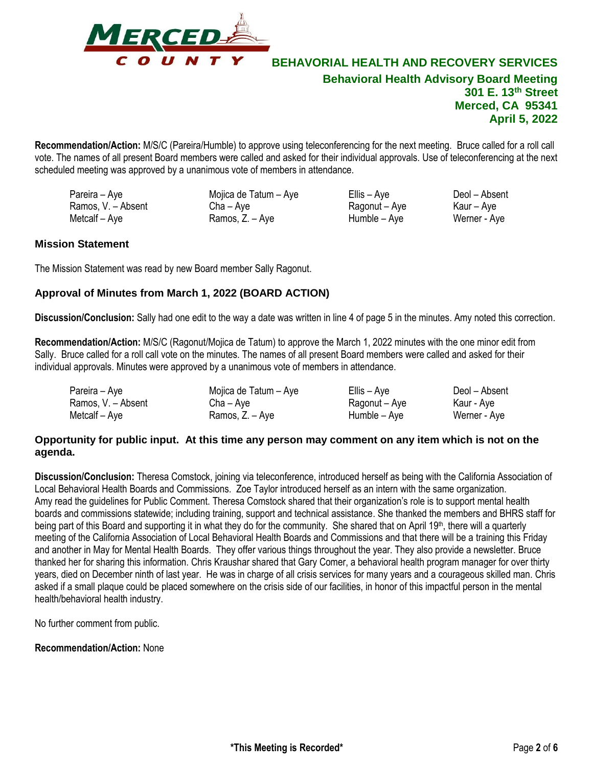

**Recommendation/Action:** M/S/C (Pareira/Humble) to approve using teleconferencing for the next meeting. Bruce called for a roll call vote. The names of all present Board members were called and asked for their individual approvals. Use of teleconferencing at the next scheduled meeting was approved by a unanimous vote of members in attendance.

Pareira – Aye Mojica de Tatum – Aye Ellis – Aye Deol – Absent Ramos, V. – Absent Cha – Aye Ragonut – Aye Kaur – Aye  $Ramos, Z. - Aye$ 

## **Mission Statement**

The Mission Statement was read by new Board member Sally Ragonut.

## **Approval of Minutes from March 1, 2022 (BOARD ACTION)**

**Discussion/Conclusion:** Sally had one edit to the way a date was written in line 4 of page 5 in the minutes. Amy noted this correction.

**Recommendation/Action:** M/S/C (Ragonut/Mojica de Tatum) to approve the March 1, 2022 minutes with the one minor edit from Sally. Bruce called for a roll call vote on the minutes. The names of all present Board members were called and asked for their individual approvals. Minutes were approved by a unanimous vote of members in attendance.

| Pareira – Aye      | Mojica de Tatum – Aye | Ellis – Aye   | Deol – Absent |
|--------------------|-----------------------|---------------|---------------|
| Ramos, V. - Absent | Cha – Ave             | Ragonut – Aye | Kaur - Aye    |
| Metcalf – Aye      | Ramos, Z. – Aye       | Humble – Aye  | Werner - Aye  |

## **Opportunity for public input. At this time any person may comment on any item which is not on the agenda.**

**Discussion/Conclusion:** Theresa Comstock, joining via teleconference, introduced herself as being with the California Association of Local Behavioral Health Boards and Commissions. Zoe Taylor introduced herself as an intern with the same organization. Amy read the guidelines for Public Comment. Theresa Comstock shared that their organization's role is to support mental health boards and commissions statewide; including training, support and technical assistance. She thanked the members and BHRS staff for being part of this Board and supporting it in what they do for the community. She shared that on April 19<sup>th</sup>, there will a quarterly meeting of the California Association of Local Behavioral Health Boards and Commissions and that there will be a training this Friday and another in May for Mental Health Boards. They offer various things throughout the year. They also provide a newsletter. Bruce thanked her for sharing this information. Chris Kraushar shared that Gary Comer, a behavioral health program manager for over thirty years, died on December ninth of last year. He was in charge of all crisis services for many years and a courageous skilled man. Chris asked if a small plaque could be placed somewhere on the crisis side of our facilities, in honor of this impactful person in the mental health/behavioral health industry.

No further comment from public.

**Recommendation/Action:** None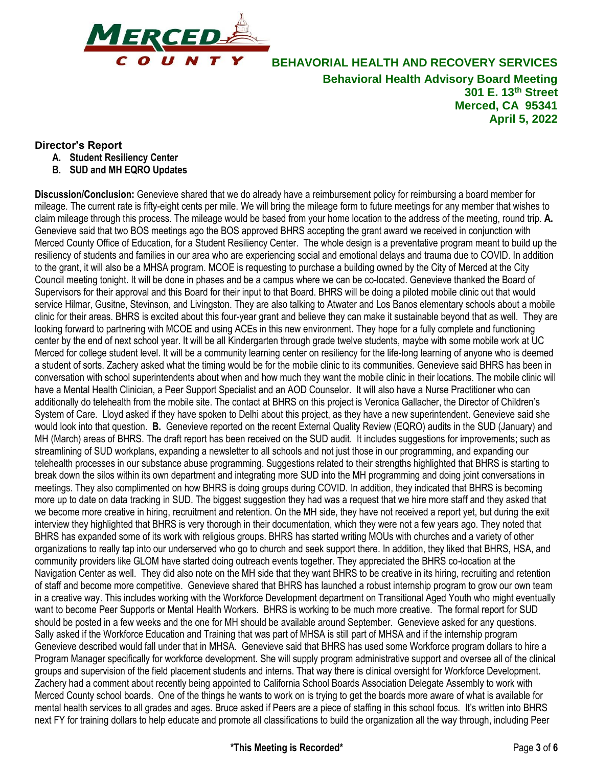

## **Director's Report**

- **A. Student Resiliency Center**
- **B. SUD and MH EQRO Updates**

**Discussion/Conclusion:** Genevieve shared that we do already have a reimbursement policy for reimbursing a board member for mileage. The current rate is fifty-eight cents per mile. We will bring the mileage form to future meetings for any member that wishes to claim mileage through this process. The mileage would be based from your home location to the address of the meeting, round trip. **A.**  Genevieve said that two BOS meetings ago the BOS approved BHRS accepting the grant award we received in conjunction with Merced County Office of Education, for a Student Resiliency Center. The whole design is a preventative program meant to build up the resiliency of students and families in our area who are experiencing social and emotional delays and trauma due to COVID. In addition to the grant, it will also be a MHSA program. MCOE is requesting to purchase a building owned by the City of Merced at the City Council meeting tonight. It will be done in phases and be a campus where we can be co-located. Genevieve thanked the Board of Supervisors for their approval and this Board for their input to that Board. BHRS will be doing a piloted mobile clinic out that would service Hilmar, Gusitne, Stevinson, and Livingston. They are also talking to Atwater and Los Banos elementary schools about a mobile clinic for their areas. BHRS is excited about this four-year grant and believe they can make it sustainable beyond that as well. They are looking forward to partnering with MCOE and using ACEs in this new environment. They hope for a fully complete and functioning center by the end of next school year. It will be all Kindergarten through grade twelve students, maybe with some mobile work at UC Merced for college student level. It will be a community learning center on resiliency for the life-long learning of anyone who is deemed a student of sorts. Zachery asked what the timing would be for the mobile clinic to its communities. Genevieve said BHRS has been in conversation with school superintendents about when and how much they want the mobile clinic in their locations. The mobile clinic will have a Mental Health Clinician, a Peer Support Specialist and an AOD Counselor. It will also have a Nurse Practitioner who can additionally do telehealth from the mobile site. The contact at BHRS on this project is Veronica Gallacher, the Director of Children's System of Care. Lloyd asked if they have spoken to Delhi about this project, as they have a new superintendent. Genevieve said she would look into that question. **B.** Genevieve reported on the recent External Quality Review (EQRO) audits in the SUD (January) and MH (March) areas of BHRS. The draft report has been received on the SUD audit. It includes suggestions for improvements; such as streamlining of SUD workplans, expanding a newsletter to all schools and not just those in our programming, and expanding our telehealth processes in our substance abuse programming. Suggestions related to their strengths highlighted that BHRS is starting to break down the silos within its own department and integrating more SUD into the MH programming and doing joint conversations in meetings. They also complimented on how BHRS is doing groups during COVID. In addition, they indicated that BHRS is becoming more up to date on data tracking in SUD. The biggest suggestion they had was a request that we hire more staff and they asked that we become more creative in hiring, recruitment and retention. On the MH side, they have not received a report yet, but during the exit interview they highlighted that BHRS is very thorough in their documentation, which they were not a few years ago. They noted that BHRS has expanded some of its work with religious groups. BHRS has started writing MOUs with churches and a variety of other organizations to really tap into our underserved who go to church and seek support there. In addition, they liked that BHRS, HSA, and community providers like GLOM have started doing outreach events together. They appreciated the BHRS co-location at the Navigation Center as well. They did also note on the MH side that they want BHRS to be creative in its hiring, recruiting and retention of staff and become more competitive. Genevieve shared that BHRS has launched a robust internship program to grow our own team in a creative way. This includes working with the Workforce Development department on Transitional Aged Youth who might eventually want to become Peer Supports or Mental Health Workers. BHRS is working to be much more creative. The formal report for SUD should be posted in a few weeks and the one for MH should be available around September. Genevieve asked for any questions. Sally asked if the Workforce Education and Training that was part of MHSA is still part of MHSA and if the internship program Genevieve described would fall under that in MHSA. Genevieve said that BHRS has used some Workforce program dollars to hire a Program Manager specifically for workforce development. She will supply program administrative support and oversee all of the clinical groups and supervision of the field placement students and interns. That way there is clinical oversight for Workforce Development. Zachery had a comment about recently being appointed to California School Boards Association Delegate Assembly to work with Merced County school boards. One of the things he wants to work on is trying to get the boards more aware of what is available for mental health services to all grades and ages. Bruce asked if Peers are a piece of staffing in this school focus. It's written into BHRS next FY for training dollars to help educate and promote all classifications to build the organization all the way through, including Peer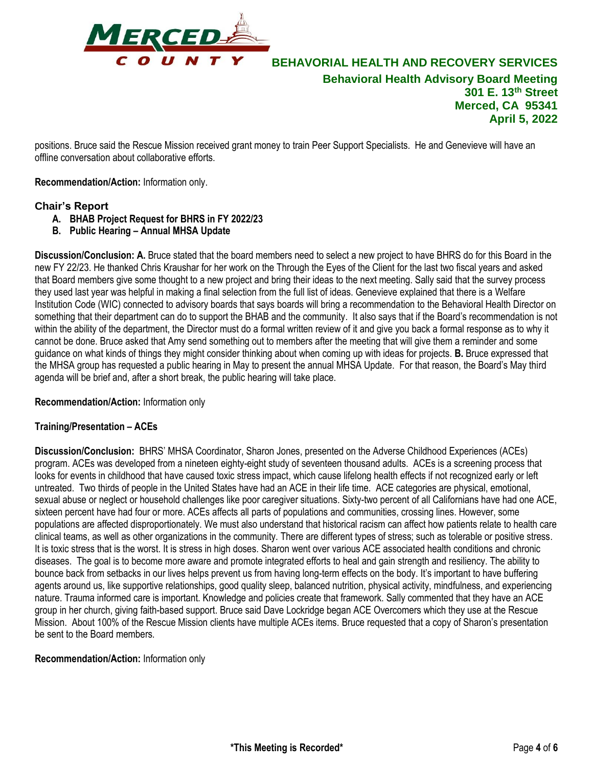

positions. Bruce said the Rescue Mission received grant money to train Peer Support Specialists. He and Genevieve will have an offline conversation about collaborative efforts.

**Recommendation/Action:** Information only.

## **Chair's Report**

- **A. BHAB Project Request for BHRS in FY 2022/23**
- **B. Public Hearing – Annual MHSA Update**

**Discussion/Conclusion: A.** Bruce stated that the board members need to select a new project to have BHRS do for this Board in the new FY 22/23. He thanked Chris Kraushar for her work on the Through the Eyes of the Client for the last two fiscal years and asked that Board members give some thought to a new project and bring their ideas to the next meeting. Sally said that the survey process they used last year was helpful in making a final selection from the full list of ideas. Genevieve explained that there is a Welfare Institution Code (WIC) connected to advisory boards that says boards will bring a recommendation to the Behavioral Health Director on something that their department can do to support the BHAB and the community. It also says that if the Board's recommendation is not within the ability of the department, the Director must do a formal written review of it and give you back a formal response as to why it cannot be done. Bruce asked that Amy send something out to members after the meeting that will give them a reminder and some guidance on what kinds of things they might consider thinking about when coming up with ideas for projects. **B.** Bruce expressed that the MHSA group has requested a public hearing in May to present the annual MHSA Update. For that reason, the Board's May third agenda will be brief and, after a short break, the public hearing will take place.

**Recommendation/Action:** Information only

## **Training/Presentation – ACEs**

**Discussion/Conclusion:** BHRS' MHSA Coordinator, Sharon Jones, presented on the Adverse Childhood Experiences (ACEs) program. ACEs was developed from a nineteen eighty-eight study of seventeen thousand adults. ACEs is a screening process that looks for events in childhood that have caused toxic stress impact, which cause lifelong health effects if not recognized early or left untreated. Two thirds of people in the United States have had an ACE in their life time. ACE categories are physical, emotional, sexual abuse or neglect or household challenges like poor caregiver situations. Sixty-two percent of all Californians have had one ACE, sixteen percent have had four or more. ACEs affects all parts of populations and communities, crossing lines. However, some populations are affected disproportionately. We must also understand that historical racism can affect how patients relate to health care clinical teams, as well as other organizations in the community. There are different types of stress; such as tolerable or positive stress. It is toxic stress that is the worst. It is stress in high doses. Sharon went over various ACE associated health conditions and chronic diseases. The goal is to become more aware and promote integrated efforts to heal and gain strength and resiliency. The ability to bounce back from setbacks in our lives helps prevent us from having long-term effects on the body. It's important to have buffering agents around us, like supportive relationships, good quality sleep, balanced nutrition, physical activity, mindfulness, and experiencing nature. Trauma informed care is important. Knowledge and policies create that framework. Sally commented that they have an ACE group in her church, giving faith-based support. Bruce said Dave Lockridge began ACE Overcomers which they use at the Rescue Mission. About 100% of the Rescue Mission clients have multiple ACEs items. Bruce requested that a copy of Sharon's presentation be sent to the Board members.

**Recommendation/Action:** Information only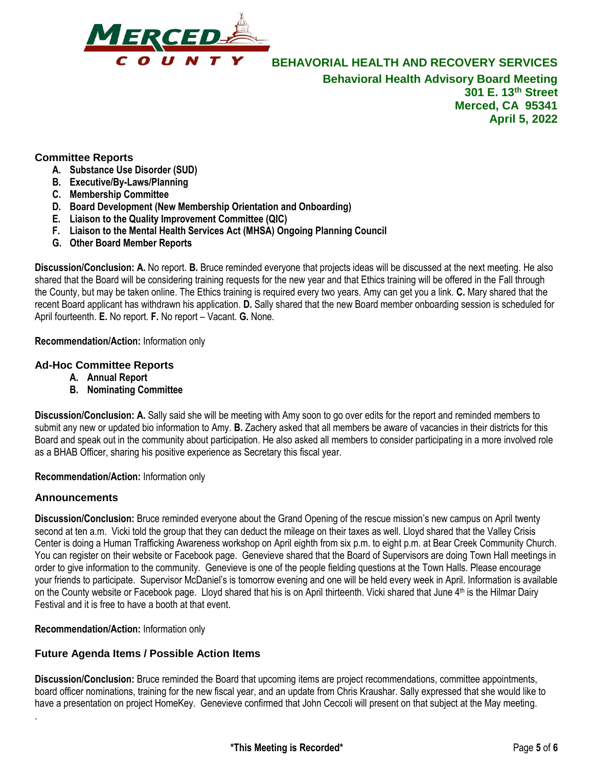

## **Committee Reports**

- **A. Substance Use Disorder (SUD)**
- **B. Executive/By-Laws/Planning**
- **C. Membership Committee**
- **D. Board Development (New Membership Orientation and Onboarding)**
- **E. Liaison to the Quality Improvement Committee (QIC)**
- **F. Liaison to the Mental Health Services Act (MHSA) Ongoing Planning Council**
- **G. Other Board Member Reports**

**Discussion/Conclusion: A.** No report. **B.** Bruce reminded everyone that projects ideas will be discussed at the next meeting. He also shared that the Board will be considering training requests for the new year and that Ethics training will be offered in the Fall through the County, but may be taken online. The Ethics training is required every two years. Amy can get you a link. **C.** Mary shared that the recent Board applicant has withdrawn his application. **D.** Sally shared that the new Board member onboarding session is scheduled for April fourteenth. **E.** No report. **F.** No report – Vacant. **G.** None.

**Recommendation/Action:** Information only

## **Ad-Hoc Committee Reports**

- **A. Annual Report**
- **B. Nominating Committee**

**Discussion/Conclusion: A.** Sally said she will be meeting with Amy soon to go over edits for the report and reminded members to submit any new or updated bio information to Amy. **B.** Zachery asked that all members be aware of vacancies in their districts for this Board and speak out in the community about participation. He also asked all members to consider participating in a more involved role as a BHAB Officer, sharing his positive experience as Secretary this fiscal year.

**Recommendation/Action:** Information only

## **Announcements**

.

**Discussion/Conclusion:** Bruce reminded everyone about the Grand Opening of the rescue mission's new campus on April twenty second at ten a.m. Vicki told the group that they can deduct the mileage on their taxes as well. Lloyd shared that the Valley Crisis Center is doing a Human Trafficking Awareness workshop on April eighth from six p.m. to eight p.m. at Bear Creek Community Church. You can register on their website or Facebook page. Genevieve shared that the Board of Supervisors are doing Town Hall meetings in order to give information to the community. Genevieve is one of the people fielding questions at the Town Halls. Please encourage your friends to participate. Supervisor McDaniel's is tomorrow evening and one will be held every week in April. Information is available on the County website or Facebook page. Lloyd shared that his is on April thirteenth. Vicki shared that June 4<sup>th</sup> is the Hilmar Dairy Festival and it is free to have a booth at that event.

**Recommendation/Action:** Information only

## **Future Agenda Items / Possible Action Items**

**Discussion/Conclusion:** Bruce reminded the Board that upcoming items are project recommendations, committee appointments, board officer nominations, training for the new fiscal year, and an update from Chris Kraushar. Sally expressed that she would like to have a presentation on project HomeKey. Genevieve confirmed that John Ceccoli will present on that subject at the May meeting.